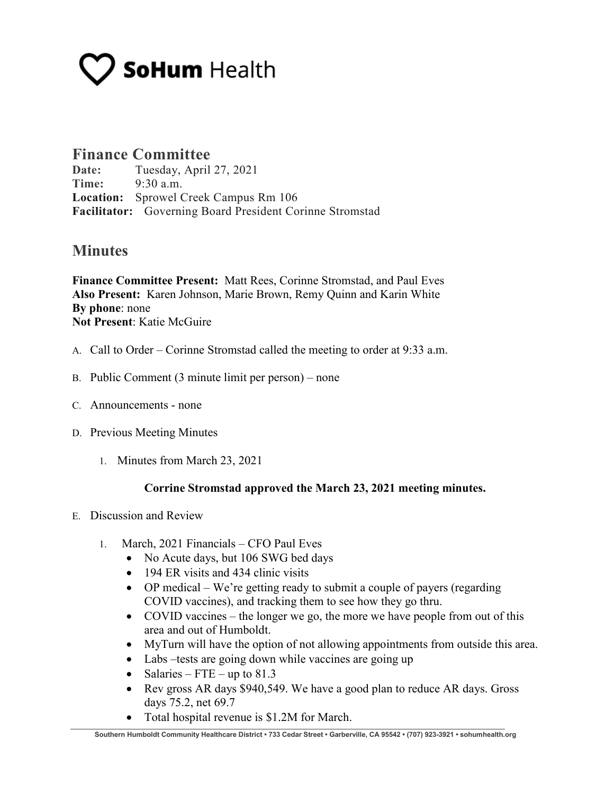# **SoHum** Health

### **Finance Committee**

**Date:** Tuesday, April 27, 2021 **Time:** 9:30 a.m. **Location:** Sprowel Creek Campus Rm 106 **Facilitator:** Governing Board President Corinne Stromstad

## **Minutes**

**Finance Committee Present:** Matt Rees, Corinne Stromstad, and Paul Eves **Also Present:** Karen Johnson, Marie Brown, Remy Quinn and Karin White **By phone**: none **Not Present**: Katie McGuire

- A. Call to Order Corinne Stromstad called the meeting to order at 9:33 a.m.
- B. Public Comment (3 minute limit per person) none
- C. Announcements none
- D. Previous Meeting Minutes
	- 1. Minutes from March 23, 2021

#### **Corrine Stromstad approved the March 23, 2021 meeting minutes.**

- E. Discussion and Review
	- 1. March, 2021 Financials CFO Paul Eves
		- No Acute days, but 106 SWG bed days
		- 194 ER visits and 434 clinic visits
		- OP medical We're getting ready to submit a couple of payers (regarding COVID vaccines), and tracking them to see how they go thru.
		- COVID vaccines the longer we go, the more we have people from out of this area and out of Humboldt.
		- MyTurn will have the option of not allowing appointments from outside this area.
		- Labs –tests are going down while vaccines are going up
		- Salaries FTE up to  $81.3$
		- Rev gross AR days \$940,549. We have a good plan to reduce AR days. Gross days 75.2, net 69.7
		- Total hospital revenue is \$1.2M for March.

**Southern Humboldt Community Healthcare District • 733 Cedar Street • Garberville, CA 95542 • (707) 923-3921 • sohumhealth.org**